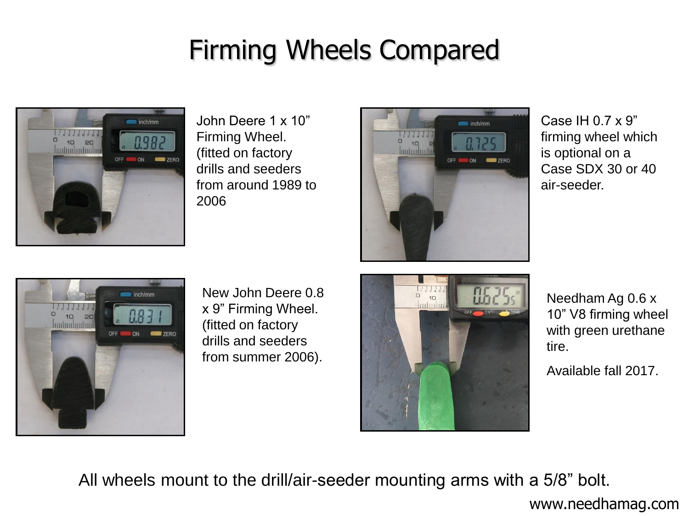## Firming Wheels Compared



John Deere 1 x 10" Firming Wheel. (fitted on factory drills and seeders from around 1989 to 2006



Case IH 0.7 x 9" firming wheel which is optional on a Case SDX 30 or 40 air-seeder.



New John Deere 0.8 x 9" Firming Wheel. (fitted on factory drills and seeders from summer 2006).



Needham Ag 0.6 x 10" V8 firming wheel with green urethane tire.

Available fall 2017.

All wheels mount to the drill/air-seeder mounting arms with a 5/8" bolt.

www.needhamag.com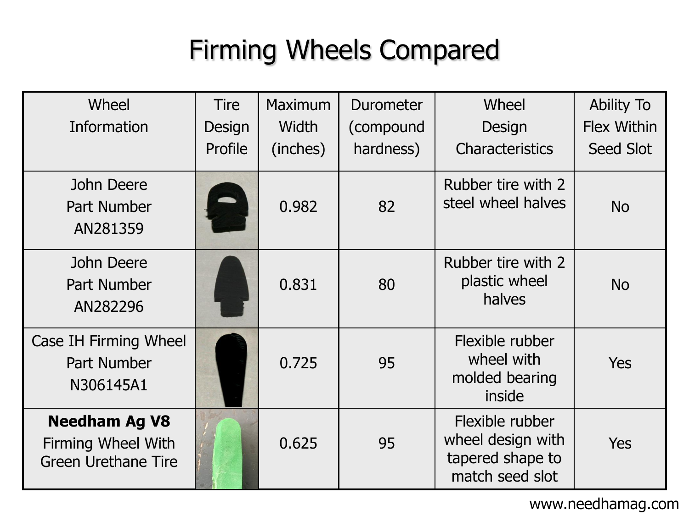## Firming Wheels Compared

| Wheel                                                                           | <b>Tire</b> | <b>Maximum</b> | Durometer | Wheel                                                                       | <b>Ability To</b>  |
|---------------------------------------------------------------------------------|-------------|----------------|-----------|-----------------------------------------------------------------------------|--------------------|
| Information                                                                     | Design      | Width          | (compound | Design                                                                      | <b>Flex Within</b> |
|                                                                                 | Profile     | (inches)       | hardness) | <b>Characteristics</b>                                                      | Seed Slot          |
| John Deere<br>Part Number<br>AN281359                                           |             | 0.982          | 82        | Rubber tire with 2<br>steel wheel halves                                    | <b>No</b>          |
| John Deere<br>Part Number<br>AN282296                                           |             | 0.831          | 80        | Rubber tire with 2<br>plastic wheel<br>halves                               | <b>No</b>          |
| Case IH Firming Wheel<br>Part Number<br>N306145A1                               |             | 0.725          | 95        | Flexible rubber<br>wheel with<br>molded bearing<br>inside                   | <b>Yes</b>         |
| <b>Needham Ag V8</b><br><b>Firming Wheel With</b><br><b>Green Urethane Tire</b> |             | 0.625          | 95        | Flexible rubber<br>wheel design with<br>tapered shape to<br>match seed slot | <b>Yes</b>         |

www.needhamag.com